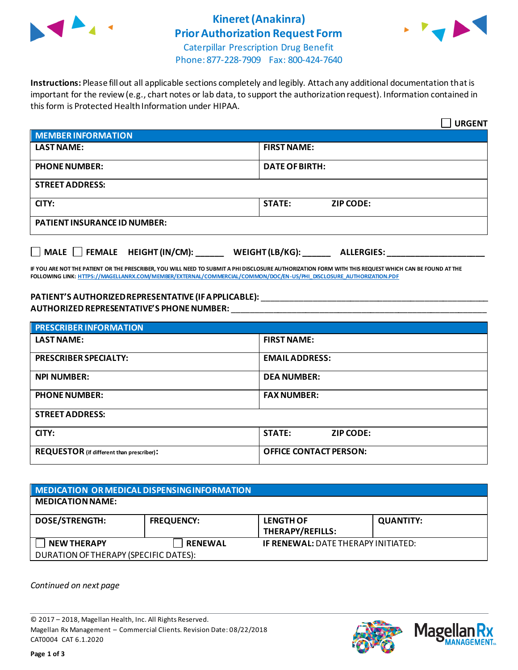

# **Kineret(Anakinra) Prior Authorization Request Form**



Caterpillar Prescription Drug Benefit Phone: 877-228-7909 Fax: 800-424-7640

**Instructions:** Please fill out all applicable sections completely and legibly. Attach any additional documentation that is important for the review (e.g., chart notes or lab data, to support the authorization request). Information contained in this form is Protected Health Information under HIPAA.

|                                           | <b>URGENT</b>                        |  |
|-------------------------------------------|--------------------------------------|--|
| <b>MEMBER INFORMATION</b>                 |                                      |  |
| <b>LAST NAME:</b>                         | <b>FIRST NAME:</b>                   |  |
| <b>PHONE NUMBER:</b>                      | <b>DATE OF BIRTH:</b>                |  |
| <b>STREET ADDRESS:</b>                    |                                      |  |
| CITY:                                     | <b>STATE:</b><br><b>ZIP CODE:</b>    |  |
| <b>PATIENT INSURANCE ID NUMBER:</b>       |                                      |  |
| $\Box$ MALE $\Box$ FEMALE HEIGHT (IN/CM): | WEIGHT (LB/KG):<br><b>ALLERGIES:</b> |  |

**IF YOU ARE NOT THE PATIENT OR THE PRESCRIBER, YOU WILL NEED TO SUBMIT A PHI DISCLOSURE AUTHORIZATION FORM WITH THIS REQUEST WHICH CAN BE FOUND AT THE FOLLOWING LINK[: HTTPS://MAGELLANRX.COM/MEMBER/EXTERNAL/COMMERCIAL/COMMON/DOC/EN-US/PHI\\_DISCLOSURE\\_AUTHORIZATION.PDF](https://magellanrx.com/member/external/commercial/common/doc/en-us/PHI_Disclosure_Authorization.pdf)**

#### **PATIENT'S AUTHORIZED REPRESENTATIVE (IF APPLICABLE):** \_\_\_\_\_\_\_\_\_\_\_\_\_\_\_\_\_\_\_\_\_\_\_\_\_\_\_\_\_\_\_\_\_\_\_\_\_\_\_\_\_\_\_\_\_\_\_\_\_ **AUTHORIZED REPRESENTATIVE'S PHONE NUMBER:** \_\_\_\_\_\_\_\_\_\_\_\_\_\_\_\_\_\_\_\_\_\_\_\_\_\_\_\_\_\_\_\_\_\_\_\_\_\_\_\_\_\_\_\_\_\_\_\_\_\_\_\_\_\_\_

| <b>PRESCRIBER INFORMATION</b>             |                               |  |
|-------------------------------------------|-------------------------------|--|
| <b>LAST NAME:</b>                         | <b>FIRST NAME:</b>            |  |
| <b>PRESCRIBER SPECIALTY:</b>              | <b>EMAIL ADDRESS:</b>         |  |
| <b>NPI NUMBER:</b>                        | <b>DEA NUMBER:</b>            |  |
| <b>PHONE NUMBER:</b>                      | <b>FAX NUMBER:</b>            |  |
| <b>STREET ADDRESS:</b>                    |                               |  |
| CITY:                                     | <b>STATE:</b><br>ZIP CODE:    |  |
| REQUESTOR (if different than prescriber): | <b>OFFICE CONTACT PERSON:</b> |  |

| <b>NEDICATION OR MEDICAL DISPENSING INFORMATION</b> |                   |                                            |                  |  |
|-----------------------------------------------------|-------------------|--------------------------------------------|------------------|--|
| <b>MEDICATION NAME:</b>                             |                   |                                            |                  |  |
| <b>DOSE/STRENGTH:</b>                               | <b>FREQUENCY:</b> | <b>LENGTH OF</b><br>THERAPY/REFILLS:       | <b>QUANTITY:</b> |  |
| <b>NEW THERAPY</b>                                  | <b>RENEWAL</b>    | <b>IF RENEWAL: DATE THERAPY INITIATED:</b> |                  |  |
| DURATION OF THERAPY (SPECIFIC DATES):               |                   |                                            |                  |  |

*Continued on next page*

© 2017 – 2018, Magellan Health, Inc. All Rights Reserved. Magellan Rx Management – Commercial Clients. Revision Date: 08/22/2018 CAT0004 CAT 6.1.2020



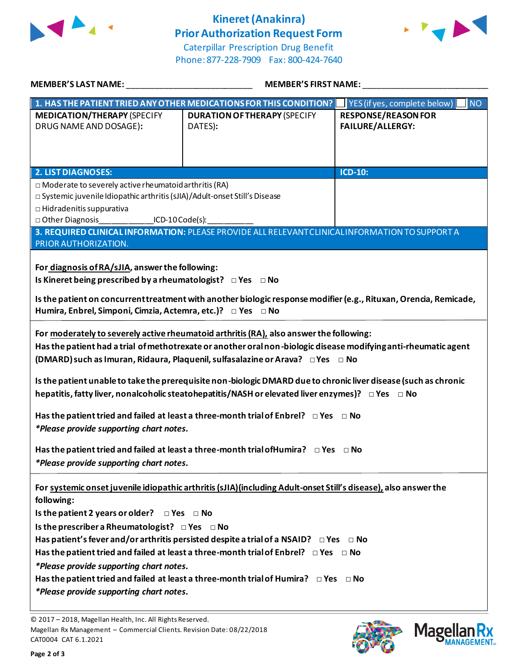

# **Kineret(Anakinra) Prior Authorization Request Form**



Caterpillar Prescription Drug Benefit Phone: 877-228-7909 Fax: 800-424-7640

| <b>MEMBER'S LAST NAME:</b>                                                                                                                                                                                                                                                                                                                                                                                                                                                                                                                                                                                                                                                                                                                                                                                            | <b>MEMBER'S FIRST NAME:</b>                                                                                                                                                                                                                                                                                                                                                                                          |                                                       |  |  |
|-----------------------------------------------------------------------------------------------------------------------------------------------------------------------------------------------------------------------------------------------------------------------------------------------------------------------------------------------------------------------------------------------------------------------------------------------------------------------------------------------------------------------------------------------------------------------------------------------------------------------------------------------------------------------------------------------------------------------------------------------------------------------------------------------------------------------|----------------------------------------------------------------------------------------------------------------------------------------------------------------------------------------------------------------------------------------------------------------------------------------------------------------------------------------------------------------------------------------------------------------------|-------------------------------------------------------|--|--|
| 1. HAS THE PATIENT TRIED ANY OTHER MEDICATIONS FOR THIS CONDITION?                                                                                                                                                                                                                                                                                                                                                                                                                                                                                                                                                                                                                                                                                                                                                    |                                                                                                                                                                                                                                                                                                                                                                                                                      | YES (if yes, complete below)<br>$\blacksquare$ NO     |  |  |
| <b>MEDICATION/THERAPY (SPECIFY</b><br>DRUG NAME AND DOSAGE):                                                                                                                                                                                                                                                                                                                                                                                                                                                                                                                                                                                                                                                                                                                                                          | <b>DURATION OF THERAPY (SPECIFY</b><br>DATES):                                                                                                                                                                                                                                                                                                                                                                       | <b>RESPONSE/REASON FOR</b><br><b>FAILURE/ALLERGY:</b> |  |  |
| <b>2. LIST DIAGNOSES:</b>                                                                                                                                                                                                                                                                                                                                                                                                                                                                                                                                                                                                                                                                                                                                                                                             |                                                                                                                                                                                                                                                                                                                                                                                                                      | <b>ICD-10:</b>                                        |  |  |
| $\Box$ Moderate to severely active rheumatoid arthritis (RA)<br>□ Systemic juvenile Idiopathic arthritis (sJIA)/Adult-onset Still's Disease<br>$\Box$ Hidradenitis suppurativa<br>□ Other Diagnosis ________________ICD-10 Code(s): ___<br>PRIOR AUTHORIZATION.                                                                                                                                                                                                                                                                                                                                                                                                                                                                                                                                                       | 3. REQUIRED CLINICAL INFORMATION: PLEASE PROVIDE ALL RELEVANT CLINICAL INFORMATION TO SUPPORT A                                                                                                                                                                                                                                                                                                                      |                                                       |  |  |
| For diagnosis of RA/sJIA, answer the following:<br>Is Kineret being prescribed by a rheumatologist? $\Box$ Yes $\Box$ No<br>Humira, Enbrel, Simponi, Cimzia, Actemra, etc.)? □ Yes □ No                                                                                                                                                                                                                                                                                                                                                                                                                                                                                                                                                                                                                               | Is the patient on concurrent treatment with another biologic response modifier (e.g., Rituxan, Orencia, Remicade,                                                                                                                                                                                                                                                                                                    |                                                       |  |  |
| For moderately to severely active rheumatoid arthritis (RA), also answer the following:<br>Has the patient had a trial of methotrexate or another oral non-biologic disease modifying anti-rheumatic agent<br>(DMARD) such as Imuran, Ridaura, Plaquenil, sulfasalazine or Arava? $\Box$ Yes $\Box$ No<br>Is the patient unable to take the prerequisite non-biologic DMARD due to chronic liver disease (such as chronic<br>hepatitis, fatty liver, nonalcoholic steatohepatitis/NASH or elevated liver enzymes)? □ Yes □ No<br>Has the patient tried and failed at least a three-month trial of Enbrel? $\Box$ Yes $\Box$ No<br>*Please provide supporting chart notes.<br>Has the patient tried and failed at least a three-month trial of Humira? $\Box$ Yes $\Box$ No<br>*Please provide supporting chart notes. |                                                                                                                                                                                                                                                                                                                                                                                                                      |                                                       |  |  |
| following:<br>Is the patient 2 years or older? $\Box$ Yes $\Box$ No<br>Is the prescriber a Rheumatologist? $\Box$ Yes $\Box$ No<br>*Please provide supporting chart notes.<br>*Please provide supporting chart notes.                                                                                                                                                                                                                                                                                                                                                                                                                                                                                                                                                                                                 | For systemic onset juvenile idiopathic arthritis (sJIA)(including Adult-onset Still's disease), also answer the<br>Has patient's fever and/or arthritis persisted despite a trial of a NSAID? $\Box$ Yes $\Box$ No<br>Has the patient tried and failed at least a three-month trial of Enbrel? $\Box$ Yes $\Box$ No<br>Has the patient tried and failed at least a three-month trial of Humira? $\Box$ Yes $\Box$ No |                                                       |  |  |





<sup>© 2017</sup> – 2018, Magellan Health, Inc. All Rights Reserved. Magellan Rx Management – Commercial Clients. Revision Date: 08/22/2018 CAT0004 CAT 6.1.2021